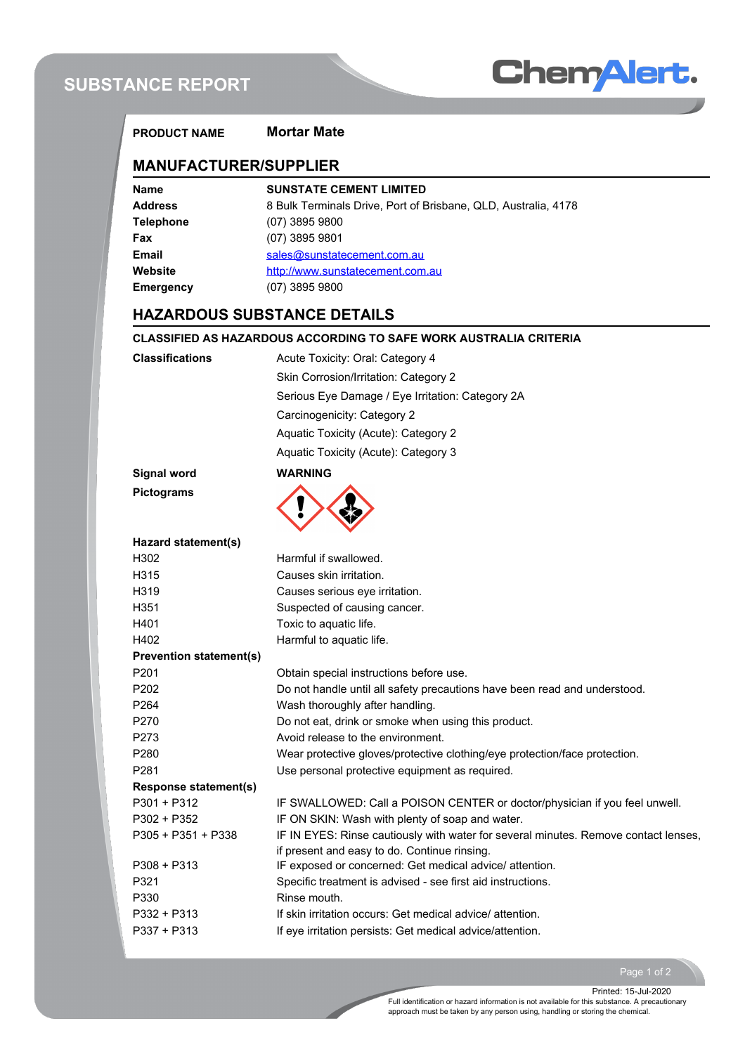# **SUBSTANCE REPORT**



| <b>PRODUCT NAME</b>            | <b>Mortar Mate</b>                                                                       |  |  |  |  |
|--------------------------------|------------------------------------------------------------------------------------------|--|--|--|--|
| <b>MANUFACTURER/SUPPLIER</b>   |                                                                                          |  |  |  |  |
| <b>Name</b>                    | <b>SUNSTATE CEMENT LIMITED</b>                                                           |  |  |  |  |
| <b>Address</b>                 | 8 Bulk Terminals Drive, Port of Brisbane, QLD, Australia, 4178                           |  |  |  |  |
| <b>Telephone</b>               | $(07)$ 3895 9800                                                                         |  |  |  |  |
| Fax                            | (07) 3895 9801                                                                           |  |  |  |  |
| Email                          | sales@sunstatecement.com.au                                                              |  |  |  |  |
| Website                        | http://www.sunstatecement.com.au                                                         |  |  |  |  |
| <b>Emergency</b>               | $(07)$ 3895 9800                                                                         |  |  |  |  |
|                                | <b>HAZARDOUS SUBSTANCE DETAILS</b>                                                       |  |  |  |  |
|                                | <b>CLASSIFIED AS HAZARDOUS ACCORDING TO SAFE WORK AUSTRALIA CRITERIA</b>                 |  |  |  |  |
| <b>Classifications</b>         | Acute Toxicity: Oral: Category 4                                                         |  |  |  |  |
|                                | Skin Corrosion/Irritation: Category 2                                                    |  |  |  |  |
|                                | Serious Eye Damage / Eye Irritation: Category 2A                                         |  |  |  |  |
|                                |                                                                                          |  |  |  |  |
|                                | Carcinogenicity: Category 2                                                              |  |  |  |  |
|                                | Aquatic Toxicity (Acute): Category 2                                                     |  |  |  |  |
|                                | Aquatic Toxicity (Acute): Category 3                                                     |  |  |  |  |
| <b>Signal word</b>             | <b>WARNING</b>                                                                           |  |  |  |  |
| <b>Pictograms</b>              |                                                                                          |  |  |  |  |
| Hazard statement(s)            |                                                                                          |  |  |  |  |
| H <sub>302</sub>               | Harmful if swallowed.                                                                    |  |  |  |  |
| H315                           | Causes skin irritation.                                                                  |  |  |  |  |
| H319                           | Causes serious eye irritation.                                                           |  |  |  |  |
| H351                           | Suspected of causing cancer.                                                             |  |  |  |  |
| H401                           | Toxic to aquatic life.                                                                   |  |  |  |  |
| H402                           | Harmful to aquatic life.                                                                 |  |  |  |  |
| <b>Prevention statement(s)</b> |                                                                                          |  |  |  |  |
| P201                           | Obtain special instructions before use.                                                  |  |  |  |  |
| P202                           | Do not handle until all safety precautions have been read and understood.                |  |  |  |  |
| P264<br>P270                   | Wash thoroughly after handling.                                                          |  |  |  |  |
| P273                           | Do not eat, drink or smoke when using this product.<br>Avoid release to the environment. |  |  |  |  |
| P280                           | Wear protective gloves/protective clothing/eye protection/face protection.               |  |  |  |  |
| P281                           | Use personal protective equipment as required.                                           |  |  |  |  |
| <b>Response statement(s)</b>   |                                                                                          |  |  |  |  |
| $P301 + P312$                  | IF SWALLOWED: Call a POISON CENTER or doctor/physician if you feel unwell.               |  |  |  |  |
| P302 + P352                    | IF ON SKIN: Wash with plenty of soap and water.                                          |  |  |  |  |
| P305 + P351 + P338             | IF IN EYES: Rinse cautiously with water for several minutes. Remove contact lenses,      |  |  |  |  |
|                                | if present and easy to do. Continue rinsing.                                             |  |  |  |  |
| $P308 + P313$                  | IF exposed or concerned: Get medical advice/ attention.                                  |  |  |  |  |
| P321                           | Specific treatment is advised - see first aid instructions.                              |  |  |  |  |
| P330                           | Rinse mouth.                                                                             |  |  |  |  |
| P332 + P313                    | If skin irritation occurs: Get medical advice/attention.                                 |  |  |  |  |
| P337 + P313                    | If eye irritation persists: Get medical advice/attention.                                |  |  |  |  |

Page 1 of 2

Full identification or hazard information is not available for this substance. A precautionary approach must be taken by any person using, handling or storing the chemical. Printed: 15-Jul-2020